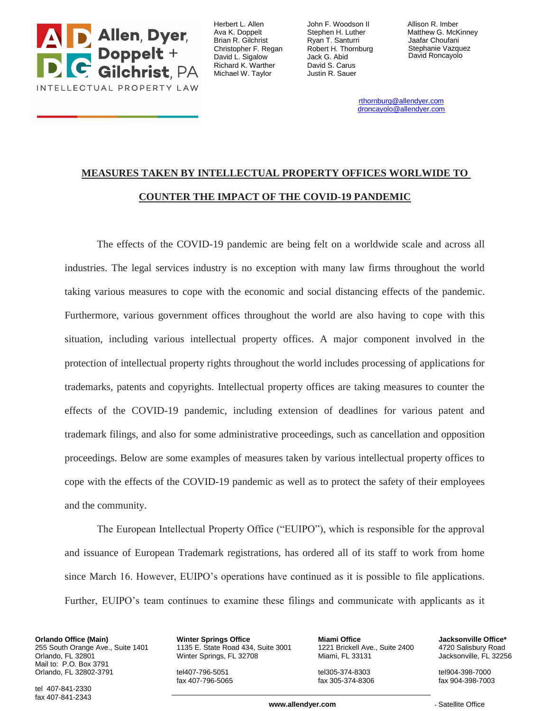

Herbert L. Allen Ava K. Doppelt Brian R. Gilchrist Christopher F. Regan David L. Sigalow Richard K. Warther Michael W. Taylor

John F. Woodson II Stephen H. Luther Ryan T. Santurri Robert H. Thornburg Jack G. Abid David S. Carus Justin R. Sauer

Allison R. Imber Matthew G. McKinney Jaafar Choufani Stephanie Vazquez David Roncayolo

rthornburg@allendyer.com droncayolo@allendyer.com

## **MEASURES TAKEN BY INTELLECTUAL PROPERTY OFFICES WORLWIDE TO COUNTER THE IMPACT OF THE COVID-19 PANDEMIC**

The effects of the COVID-19 pandemic are being felt on a worldwide scale and across all industries. The legal services industry is no exception with many law firms throughout the world taking various measures to cope with the economic and social distancing effects of the pandemic. Furthermore, various government offices throughout the world are also having to cope with this situation, including various intellectual property offices. A major component involved in the protection of intellectual property rights throughout the world includes processing of applications for trademarks, patents and copyrights. Intellectual property offices are taking measures to counter the effects of the COVID-19 pandemic, including extension of deadlines for various patent and trademark filings, and also for some administrative proceedings, such as cancellation and opposition proceedings. Below are some examples of measures taken by various intellectual property offices to cope with the effects of the COVID-19 pandemic as well as to protect the safety of their employees and the community.

The European Intellectual Property Office ("EUIPO"), which is responsible for the approval and issuance of European Trademark registrations, has ordered all of its staff to work from home since March 16. However, EUIPO's operations have continued as it is possible to file applications. Further, EUIPO's team continues to examine these filings and communicate with applicants as it

**Orlando Office (Main)** 255 South Orange Ave., Suite 1401 Orlando, FL 32801 Mail to: P.O. Box 3791 Orlando, FL 32802-3791

**Winter Springs Office** 1135 E. State Road 434, Suite 3001 Winter Springs, FL 32708

tel407-796-5051 fax 407-796-5065

**Miami Office** 1221 Brickell Ave., Suite 2400 Miami, FL 33131

tel305-374-8303 fax 305-374-8306 **Jacksonville Office\*** 4720 Salisbury Road Jacksonville, FL 32256

tel904-398-7000 fax 904-398-7003

tel 407-841-2330 fax 407-841-2343

**www.allendver.com** \* \* Satellite Office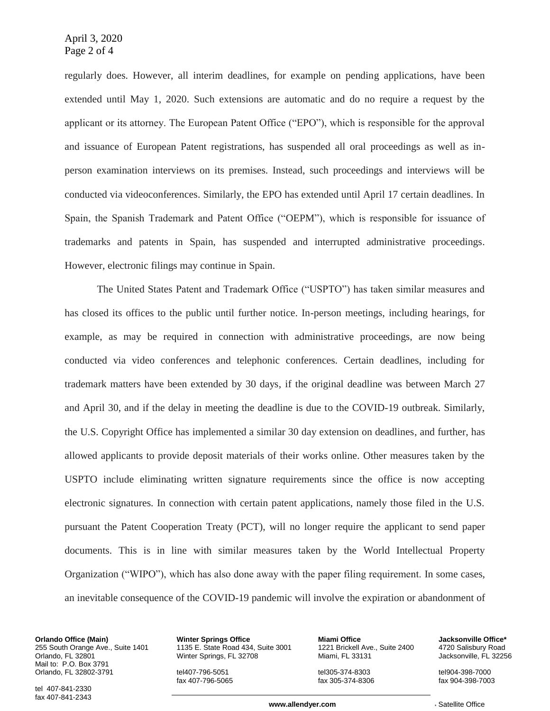regularly does. However, all interim deadlines, for example on pending applications, have been extended until May 1, 2020. Such extensions are automatic and do no require a request by the applicant or its attorney. The European Patent Office ("EPO"), which is responsible for the approval and issuance of European Patent registrations, has suspended all oral proceedings as well as inperson examination interviews on its premises. Instead, such proceedings and interviews will be conducted via videoconferences. Similarly, the EPO has extended until April 17 certain deadlines. In Spain, the Spanish Trademark and Patent Office ("OEPM"), which is responsible for issuance of trademarks and patents in Spain, has suspended and interrupted administrative proceedings. However, electronic filings may continue in Spain.

The United States Patent and Trademark Office ("USPTO") has taken similar measures and has closed its offices to the public until further notice. In-person meetings, including hearings, for example, as may be required in connection with administrative proceedings, are now being conducted via video conferences and telephonic conferences. Certain deadlines, including for trademark matters have been extended by 30 days, if the original deadline was between March 27 and April 30, and if the delay in meeting the deadline is due to the COVID-19 outbreak. Similarly, the U.S. Copyright Office has implemented a similar 30 day extension on deadlines, and further, has allowed applicants to provide deposit materials of their works online. Other measures taken by the USPTO include eliminating written signature requirements since the office is now accepting electronic signatures. In connection with certain patent applications, namely those filed in the U.S. pursuant the Patent Cooperation Treaty (PCT), will no longer require the applicant to send paper documents. This is in line with similar measures taken by the World Intellectual Property Organization ("WIPO"), which has also done away with the paper filing requirement. In some cases, an inevitable consequence of the COVID-19 pandemic will involve the expiration or abandonment of

**Orlando Office (Main)** 255 South Orange Ave., Suite 1401 Orlando, FL 32801 Mail to: P.O. Box 3791 Orlando, FL 32802-3791

**Winter Springs Office** 1135 E. State Road 434, Suite 3001 Winter Springs, FL 32708

tel407-796-5051 fax 407-796-5065

**Miami Office** 1221 Brickell Ave., Suite 2400 Miami, FL 33131

tel305-374-8303 fax 305-374-8306 **Jacksonville Office\*** 4720 Salisbury Road Jacksonville, FL 32256

tel904-398-7000 fax 904-398-7003

tel 407-841-2330 fax 407-841-2343

**www.allendver.com** \* \* Satellite Office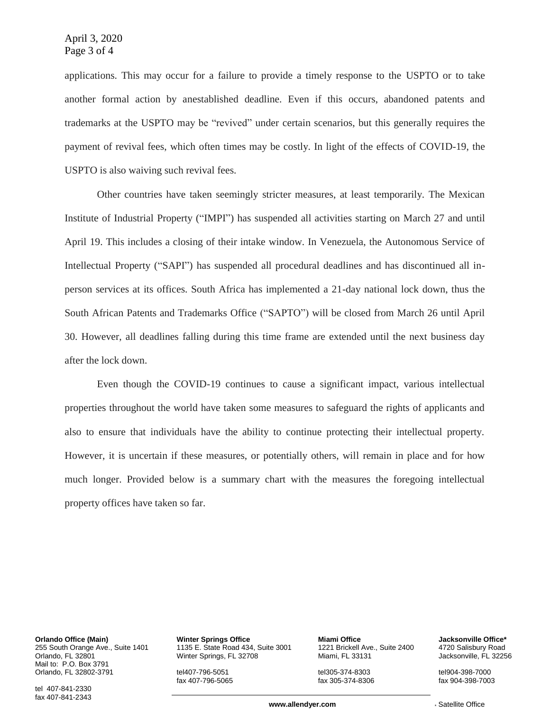applications. This may occur for a failure to provide a timely response to the USPTO or to take another formal action by anestablished deadline. Even if this occurs, abandoned patents and trademarks at the USPTO may be "revived" under certain scenarios, but this generally requires the payment of revival fees, which often times may be costly. In light of the effects of COVID-19, the USPTO is also waiving such revival fees.

Other countries have taken seemingly stricter measures, at least temporarily. The Mexican Institute of Industrial Property ("IMPI") has suspended all activities starting on March 27 and until April 19. This includes a closing of their intake window. In Venezuela, the Autonomous Service of Intellectual Property ("SAPI") has suspended all procedural deadlines and has discontinued all inperson services at its offices. South Africa has implemented a 21-day national lock down, thus the South African Patents and Trademarks Office ("SAPTO") will be closed from March 26 until April 30. However, all deadlines falling during this time frame are extended until the next business day after the lock down.

Even though the COVID-19 continues to cause a significant impact, various intellectual properties throughout the world have taken some measures to safeguard the rights of applicants and also to ensure that individuals have the ability to continue protecting their intellectual property. However, it is uncertain if these measures, or potentially others, will remain in place and for how much longer. Provided below is a summary chart with the measures the foregoing intellectual property offices have taken so far.

**Orlando Office (Main)** 255 South Orange Ave., Suite 1401 Orlando, FL 32801 Mail to: P.O. Box 3791 Orlando, FL 32802-3791

tel 407-841-2330 fax 407-841-2343 **Winter Springs Office** 1135 E. State Road 434, Suite 3001 Winter Springs, FL 32708

tel407-796-5051 fax 407-796-5065

**Miami Office** 1221 Brickell Ave., Suite 2400 Miami, FL 33131

tel305-374-8303 fax 305-374-8306 **Jacksonville Office\*** 4720 Salisbury Road Jacksonville, FL 32256

tel904-398-7000 fax 904-398-7003

**www.allendver.com** \* \* Satellite Office